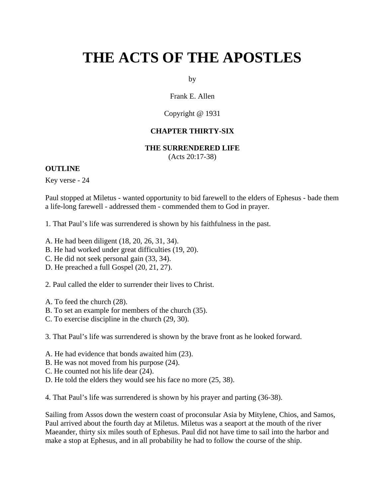# **THE ACTS OF THE APOSTLES**

by

Frank E. Allen

Copyright @ 1931

## **CHAPTER THIRTY-SIX**

#### **THE SURRENDERED LIFE**

(Acts 20:17-38)

#### **OUTLINE**

Key verse - 24

Paul stopped at Miletus - wanted opportunity to bid farewell to the elders of Ephesus - bade them a life-long farewell - addressed them - commended them to God in prayer.

1. That Paul's life was surrendered is shown by his faithfulness in the past.

- A. He had been diligent (18, 20, 26, 31, 34).
- B. He had worked under great difficulties (19, 20).
- C. He did not seek personal gain (33, 34).
- D. He preached a full Gospel (20, 21, 27).

2. Paul called the elder to surrender their lives to Christ.

- A. To feed the church (28).
- B. To set an example for members of the church (35).
- C. To exercise discipline in the church (29, 30).

3. That Paul's life was surrendered is shown by the brave front as he looked forward.

- A. He had evidence that bonds awaited him (23).
- B. He was not moved from his purpose (24).
- C. He counted not his life dear (24).
- D. He told the elders they would see his face no more (25, 38).

4. That Paul's life was surrendered is shown by his prayer and parting (36-38).

Sailing from Assos down the western coast of proconsular Asia by Mitylene, Chios, and Samos, Paul arrived about the fourth day at Miletus. Miletus was a seaport at the mouth of the river Maeander, thirty six miles south of Ephesus. Paul did not have time to sail into the harbor and make a stop at Ephesus, and in all probability he had to follow the course of the ship.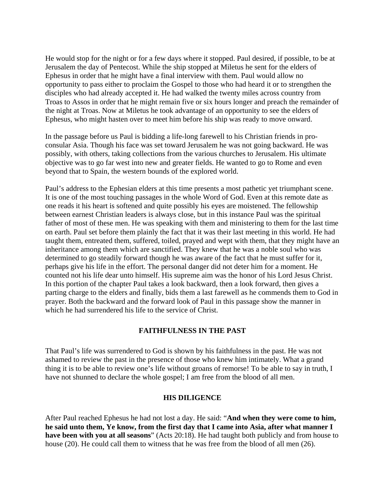He would stop for the night or for a few days where it stopped. Paul desired, if possible, to be at Jerusalem the day of Pentecost. While the ship stopped at Miletus he sent for the elders of Ephesus in order that he might have a final interview with them. Paul would allow no opportunity to pass either to proclaim the Gospel to those who had heard it or to strengthen the disciples who had already accepted it. He had walked the twenty miles across country from Troas to Assos in order that he might remain five or six hours longer and preach the remainder of the night at Troas. Now at Miletus he took advantage of an opportunity to see the elders of Ephesus, who might hasten over to meet him before his ship was ready to move onward.

In the passage before us Paul is bidding a life-long farewell to his Christian friends in proconsular Asia. Though his face was set toward Jerusalem he was not going backward. He was possibly, with others, taking collections from the various churches to Jerusalem. His ultimate objective was to go far west into new and greater fields. He wanted to go to Rome and even beyond that to Spain, the western bounds of the explored world.

Paul's address to the Ephesian elders at this time presents a most pathetic yet triumphant scene. It is one of the most touching passages in the whole Word of God. Even at this remote date as one reads it his heart is softened and quite possibly his eyes are moistened. The fellowship between earnest Christian leaders is always close, but in this instance Paul was the spiritual father of most of these men. He was speaking with them and ministering to them for the last time on earth. Paul set before them plainly the fact that it was their last meeting in this world. He had taught them, entreated them, suffered, toiled, prayed and wept with them, that they might have an inheritance among them which are sanctified. They knew that he was a noble soul who was determined to go steadily forward though he was aware of the fact that he must suffer for it, perhaps give his life in the effort. The personal danger did not deter him for a moment. He counted not his life dear unto himself. His supreme aim was the honor of his Lord Jesus Christ. In this portion of the chapter Paul takes a look backward, then a look forward, then gives a parting charge to the elders and finally, bids them a last farewell as he commends them to God in prayer. Both the backward and the forward look of Paul in this passage show the manner in which he had surrendered his life to the service of Christ.

# **FAITHFULNESS IN THE PAST**

That Paul's life was surrendered to God is shown by his faithfulness in the past. He was not ashamed to review the past in the presence of those who knew him intimately. What a grand thing it is to be able to review one's life without groans of remorse! To be able to say in truth, I have not shunned to declare the whole gospel; I am free from the blood of all men.

## **HIS DILIGENCE**

After Paul reached Ephesus he had not lost a day. He said: "**And when they were come to him, he said unto them, Ye know, from the first day that I came into Asia, after what manner I have been with you at all seasons**" (Acts 20:18). He had taught both publicly and from house to house (20). He could call them to witness that he was free from the blood of all men (26).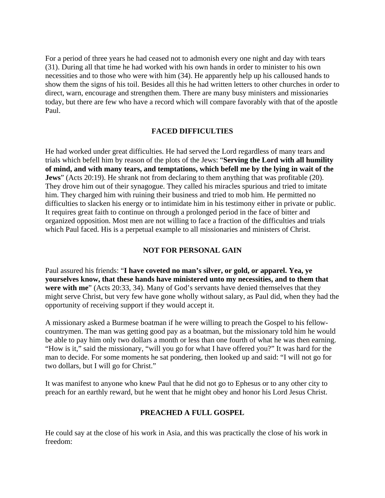For a period of three years he had ceased not to admonish every one night and day with tears (31). During all that time he had worked with his own hands in order to minister to his own necessities and to those who were with him (34). He apparently help up his calloused hands to show them the signs of his toil. Besides all this he had written letters to other churches in order to direct, warn, encourage and strengthen them. There are many busy ministers and missionaries today, but there are few who have a record which will compare favorably with that of the apostle Paul.

## **FACED DIFFICULTIES**

He had worked under great difficulties. He had served the Lord regardless of many tears and trials which befell him by reason of the plots of the Jews: "**Serving the Lord with all humility of mind, and with many tears, and temptations, which befell me by the lying in wait of the Jews**" (Acts 20:19). He shrank not from declaring to them anything that was profitable (20). They drove him out of their synagogue. They called his miracles spurious and tried to imitate him. They charged him with ruining their business and tried to mob him. He permitted no difficulties to slacken his energy or to intimidate him in his testimony either in private or public. It requires great faith to continue on through a prolonged period in the face of bitter and organized opposition. Most men are not willing to face a fraction of the difficulties and trials which Paul faced. His is a perpetual example to all missionaries and ministers of Christ.

# **NOT FOR PERSONAL GAIN**

Paul assured his friends: "**I have coveted no man's silver, or gold, or apparel. Yea, ye yourselves know, that these hands have ministered unto my necessities, and to them that were with me**" (Acts 20:33, 34). Many of God's servants have denied themselves that they might serve Christ, but very few have gone wholly without salary, as Paul did, when they had the opportunity of receiving support if they would accept it.

A missionary asked a Burmese boatman if he were willing to preach the Gospel to his fellowcountrymen. The man was getting good pay as a boatman, but the missionary told him he would be able to pay him only two dollars a month or less than one fourth of what he was then earning. "How is it," said the missionary, "will you go for what I have offered you?" It was hard for the man to decide. For some moments he sat pondering, then looked up and said: "I will not go for two dollars, but I will go for Christ."

It was manifest to anyone who knew Paul that he did not go to Ephesus or to any other city to preach for an earthly reward, but he went that he might obey and honor his Lord Jesus Christ.

# **PREACHED A FULL GOSPEL**

He could say at the close of his work in Asia, and this was practically the close of his work in freedom: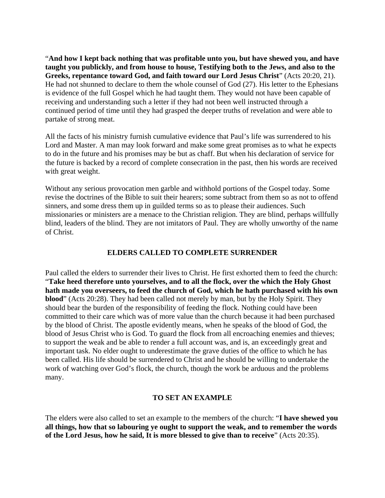"**And how I kept back nothing that was profitable unto you, but have shewed you, and have taught you publickly, and from house to house, Testifying both to the Jews, and also to the Greeks, repentance toward God, and faith toward our Lord Jesus Christ**" (Acts 20:20, 21). He had not shunned to declare to them the whole counsel of God (27). His letter to the Ephesians is evidence of the full Gospel which he had taught them. They would not have been capable of receiving and understanding such a letter if they had not been well instructed through a continued period of time until they had grasped the deeper truths of revelation and were able to partake of strong meat.

All the facts of his ministry furnish cumulative evidence that Paul's life was surrendered to his Lord and Master. A man may look forward and make some great promises as to what he expects to do in the future and his promises may be but as chaff. But when his declaration of service for the future is backed by a record of complete consecration in the past, then his words are received with great weight.

Without any serious provocation men garble and withhold portions of the Gospel today. Some revise the doctrines of the Bible to suit their hearers; some subtract from them so as not to offend sinners, and some dress them up in guilded terms so as to please their audiences. Such missionaries or ministers are a menace to the Christian religion. They are blind, perhaps willfully blind, leaders of the blind. They are not imitators of Paul. They are wholly unworthy of the name of Christ.

## **ELDERS CALLED TO COMPLETE SURRENDER**

Paul called the elders to surrender their lives to Christ. He first exhorted them to feed the church: "**Take heed therefore unto yourselves, and to all the flock, over the which the Holy Ghost hath made you overseers, to feed the church of God, which he hath purchased with his own blood**" (Acts 20:28). They had been called not merely by man, but by the Holy Spirit. They should bear the burden of the responsibility of feeding the flock. Nothing could have been committed to their care which was of more value than the church because it had been purchased by the blood of Christ. The apostle evidently means, when he speaks of the blood of God, the blood of Jesus Christ who is God. To guard the flock from all encroaching enemies and thieves; to support the weak and be able to render a full account was, and is, an exceedingly great and important task. No elder ought to underestimate the grave duties of the office to which he has been called. His life should be surrendered to Christ and he should be willing to undertake the work of watching over God's flock, the church, though the work be arduous and the problems many.

# **TO SET AN EXAMPLE**

The elders were also called to set an example to the members of the church: "**I have shewed you all things, how that so labouring ye ought to support the weak, and to remember the words of the Lord Jesus, how he said, It is more blessed to give than to receive**" (Acts 20:35).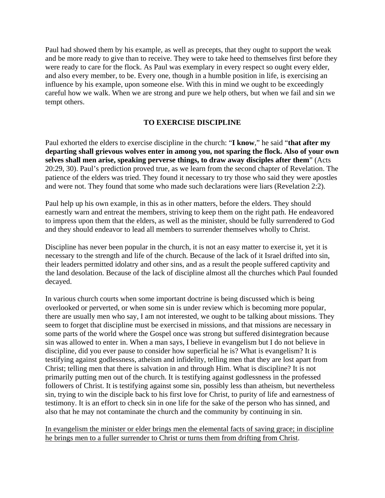Paul had showed them by his example, as well as precepts, that they ought to support the weak and be more ready to give than to receive. They were to take heed to themselves first before they were ready to care for the flock. As Paul was exemplary in every respect so ought every elder, and also every member, to be. Every one, though in a humble position in life, is exercising an influence by his example, upon someone else. With this in mind we ought to be exceedingly careful how we walk. When we are strong and pure we help others, but when we fail and sin we tempt others.

## **TO EXERCISE DISCIPLINE**

Paul exhorted the elders to exercise discipline in the church: "**I know**," he said "**that after my departing shall grievous wolves enter in among you, not sparing the flock. Also of your own selves shall men arise, speaking perverse things, to draw away disciples after them**" (Acts 20:29, 30). Paul's prediction proved true, as we learn from the second chapter of Revelation. The patience of the elders was tried. They found it necessary to try those who said they were apostles and were not. They found that some who made such declarations were liars (Revelation 2:2).

Paul help up his own example, in this as in other matters, before the elders. They should earnestly warn and entreat the members, striving to keep them on the right path. He endeavored to impress upon them that the elders, as well as the minister, should be fully surrendered to God and they should endeavor to lead all members to surrender themselves wholly to Christ.

Discipline has never been popular in the church, it is not an easy matter to exercise it, yet it is necessary to the strength and life of the church. Because of the lack of it Israel drifted into sin, their leaders permitted idolatry and other sins, and as a result the people suffered captivity and the land desolation. Because of the lack of discipline almost all the churches which Paul founded decayed.

In various church courts when some important doctrine is being discussed which is being overlooked or perverted, or when some sin is under review which is becoming more popular, there are usually men who say, I am not interested, we ought to be talking about missions. They seem to forget that discipline must be exercised in missions, and that missions are necessary in some parts of the world where the Gospel once was strong but suffered disintegration because sin was allowed to enter in. When a man says, I believe in evangelism but I do not believe in discipline, did you ever pause to consider how superficial he is? What is evangelism? It is testifying against godlessness, atheism and infidelity, telling men that they are lost apart from Christ; telling men that there is salvation in and through Him. What is discipline? It is not primarily putting men out of the church. It is testifying against godlessness in the professed followers of Christ. It is testifying against some sin, possibly less than atheism, but nevertheless sin, trying to win the disciple back to his first love for Christ, to purity of life and earnestness of testimony. It is an effort to check sin in one life for the sake of the person who has sinned, and also that he may not contaminate the church and the community by continuing in sin.

In evangelism the minister or elder brings men the elemental facts of saving grace; in discipline he brings men to a fuller surrender to Christ or turns them from drifting from Christ.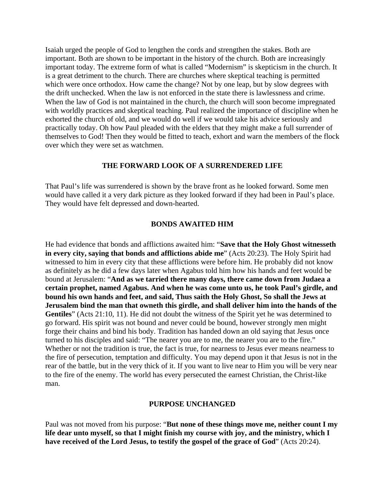Isaiah urged the people of God to lengthen the cords and strengthen the stakes. Both are important. Both are shown to be important in the history of the church. Both are increasingly important today. The extreme form of what is called "Modernism" is skepticism in the church. It is a great detriment to the church. There are churches where skeptical teaching is permitted which were once orthodox. How came the change? Not by one leap, but by slow degrees with the drift unchecked. When the law is not enforced in the state there is lawlessness and crime. When the law of God is not maintained in the church, the church will soon become impregnated with worldly practices and skeptical teaching. Paul realized the importance of discipline when he exhorted the church of old, and we would do well if we would take his advice seriously and practically today. Oh how Paul pleaded with the elders that they might make a full surrender of themselves to God! Then they would be fitted to teach, exhort and warn the members of the flock over which they were set as watchmen.

## **THE FORWARD LOOK OF A SURRENDERED LIFE**

That Paul's life was surrendered is shown by the brave front as he looked forward. Some men would have called it a very dark picture as they looked forward if they had been in Paul's place. They would have felt depressed and down-hearted.

#### **BONDS AWAITED HIM**

He had evidence that bonds and afflictions awaited him: "**Save that the Holy Ghost witnesseth in every city, saying that bonds and afflictions abide me**" (Acts 20:23). The Holy Spirit had witnessed to him in every city that these afflictions were before him. He probably did not know as definitely as he did a few days later when Agabus told him how his hands and feet would be bound at Jerusalem: "**And as we tarried there many days, there came down from Judaea a certain prophet, named Agabus. And when he was come unto us, he took Paul's girdle, and bound his own hands and feet, and said, Thus saith the Holy Ghost, So shall the Jews at Jerusalem bind the man that owneth this girdle, and shall deliver him into the hands of the Gentiles**" (Acts 21:10, 11). He did not doubt the witness of the Spirit yet he was determined to go forward. His spirit was not bound and never could be bound, however strongly men might forge their chains and bind his body. Tradition has handed down an old saying that Jesus once turned to his disciples and said: "The nearer you are to me, the nearer you are to the fire." Whether or not the tradition is true, the fact is true, for nearness to Jesus ever means nearness to the fire of persecution, temptation and difficulty. You may depend upon it that Jesus is not in the rear of the battle, but in the very thick of it. If you want to live near to Him you will be very near to the fire of the enemy. The world has every persecuted the earnest Christian, the Christ-like man.

#### **PURPOSE UNCHANGED**

Paul was not moved from his purpose: "**But none of these things move me, neither count I my life dear unto myself, so that I might finish my course with joy, and the ministry, which I have received of the Lord Jesus, to testify the gospel of the grace of God**" (Acts 20:24).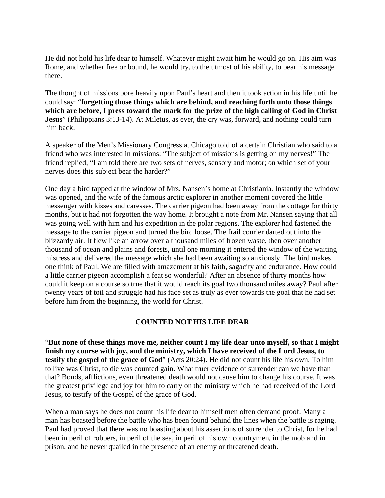He did not hold his life dear to himself. Whatever might await him he would go on. His aim was Rome, and whether free or bound, he would try, to the utmost of his ability, to bear his message there.

The thought of missions bore heavily upon Paul's heart and then it took action in his life until he could say: "**forgetting those things which are behind, and reaching forth unto those things which are before, I press toward the mark for the prize of the high calling of God in Christ Jesus**" (Philippians 3:13-14). At Miletus, as ever, the cry was, forward, and nothing could turn him back.

A speaker of the Men's Missionary Congress at Chicago told of a certain Christian who said to a friend who was interested in missions: "The subject of missions is getting on my nerves!" The friend replied, "I am told there are two sets of nerves, sensory and motor; on which set of your nerves does this subject bear the harder?"

One day a bird tapped at the window of Mrs. Nansen's home at Christiania. Instantly the window was opened, and the wife of the famous arctic explorer in another moment covered the little messenger with kisses and caresses. The carrier pigeon had been away from the cottage for thirty months, but it had not forgotten the way home. It brought a note from Mr. Nansen saying that all was going well with him and his expedition in the polar regions. The explorer had fastened the message to the carrier pigeon and turned the bird loose. The frail courier darted out into the blizzardy air. It flew like an arrow over a thousand miles of frozen waste, then over another thousand of ocean and plains and forests, until one morning it entered the window of the waiting mistress and delivered the message which she had been awaiting so anxiously. The bird makes one think of Paul. We are filled with amazement at his faith, sagacity and endurance. How could a little carrier pigeon accomplish a feat so wonderful? After an absence of thirty months how could it keep on a course so true that it would reach its goal two thousand miles away? Paul after twenty years of toil and struggle had his face set as truly as ever towards the goal that he had set before him from the beginning, the world for Christ.

## **COUNTED NOT HIS LIFE DEAR**

"**But none of these things move me, neither count I my life dear unto myself, so that I might finish my course with joy, and the ministry, which I have received of the Lord Jesus, to testify the gospel of the grace of God**" (Acts 20:24). He did not count his life his own. To him to live was Christ, to die was counted gain. What truer evidence of surrender can we have than that? Bonds, afflictions, even threatened death would not cause him to change his course. It was the greatest privilege and joy for him to carry on the ministry which he had received of the Lord Jesus, to testify of the Gospel of the grace of God.

When a man says he does not count his life dear to himself men often demand proof. Many a man has boasted before the battle who has been found behind the lines when the battle is raging. Paul had proved that there was no boasting about his assertions of surrender to Christ, for he had been in peril of robbers, in peril of the sea, in peril of his own countrymen, in the mob and in prison, and he never quailed in the presence of an enemy or threatened death.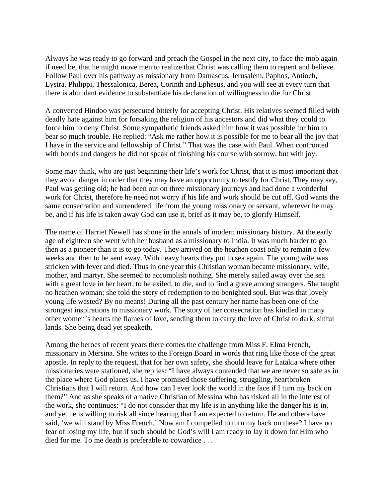Always he was ready to go forward and preach the Gospel in the next city, to face the mob again if need be, that he might move men to realize that Christ was calling them to repent and believe. Follow Paul over his pathway as missionary from Damascus, Jerusalem, Paphos, Antioch, Lystra, Philippi, Thessalonica, Berea, Corinth and Ephesus, and you will see at every turn that there is abundant evidence to substantiate his declaration of willingness to die for Christ.

A converted Hindoo was persecuted bitterly for accepting Christ. His relatives seemed filled with deadly hate against him for forsaking the religion of his ancestors and did what they could to force him to deny Christ. Some sympathetic friends asked him how it was possible for him to bear so much trouble. He replied: "Ask me rather how it is possible for me to bear all the joy that I have in the service and fellowship of Christ." That was the case with Paul. When confronted with bonds and dangers he did not speak of finishing his course with sorrow, but with joy.

Some may think, who are just beginning their life's work for Christ, that it is most important that they avoid danger in order that they may have an opportunity to testify for Christ. They may say, Paul was getting old; he had been out on three missionary journeys and had done a wonderful work for Christ, therefore he need not worry if his life and work should be cut off. God wants the same consecration and surrendered life from the young missionary or servant, wherever he may be, and if his life is taken away God can use it, brief as it may be, to glorify Himself.

The name of Harriet Newell has shone in the annals of modern missionary history. At the early age of eighteen she went with her husband as a missionary to India. It was much harder to go then as a pioneer than it is to go today. They arrived on the heathen coast only to remain a few weeks and then to be sent away. With heavy hearts they put to sea again. The young wife was stricken with fever and died. Thus in one year this Christian woman became missionary, wife, mother, and martyr. She seemed to accomplish nothing. She merely sailed away over the sea with a great love in her heart, to be exiled, to die, and to find a grave among strangers. She taught no heathen woman; she told the story of redemption to no benighted soul. But was that lovely young life wasted? By no means! During all the past century her name has been one of the strongest inspirations to missionary work. The story of her consecration has kindled in many other women's hearts the flames of love, sending them to carry the love of Christ to dark, sinful lands. She being dead yet speaketh.

Among the heroes of recent years there comes the challenge from Miss F. Elma French, missionary in Mersina. She writes to the Foreign Board in words that ring like those of the great apostle. In reply to the request, that for her own safety, she should leave for Latakia where other missionaries were stationed, she replies: "I have always contended that we are never so safe as in the place where God places us. I have promised those suffering, struggling, heartbroken Christians that I will return. And how can I ever look the world in the face if I turn my back on them?" And as she speaks of a native Christian of Messina who has risked all in the interest of the work, she continues: "I do not consider that my life is in anything like the danger his is in, and yet he is willing to risk all since hearing that I am expected to return. He and others have said, 'we will stand by Miss French.' Now am I compelled to turn my back on these? I have no fear of losing my life, but if such should be God's will I am ready to lay it down for Him who died for me. To me death is preferable to cowardice . . .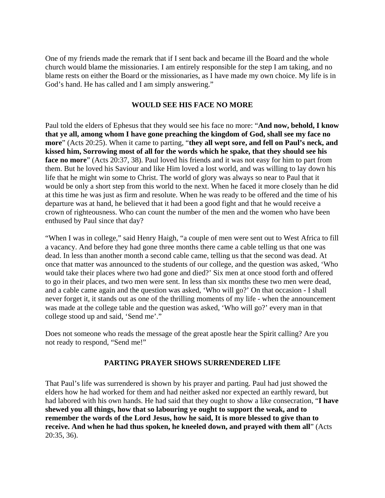One of my friends made the remark that if I sent back and became ill the Board and the whole church would blame the missionaries. I am entirely responsible for the step I am taking, and no blame rests on either the Board or the missionaries, as I have made my own choice. My life is in God's hand. He has called and I am simply answering."

#### **WOULD SEE HIS FACE NO MORE**

Paul told the elders of Ephesus that they would see his face no more: "**And now, behold, I know that ye all, among whom I have gone preaching the kingdom of God, shall see my face no more**" (Acts 20:25). When it came to parting, "**they all wept sore, and fell on Paul's neck, and kissed him, Sorrowing most of all for the words which he spake, that they should see his face no more**" (Acts 20:37, 38). Paul loved his friends and it was not easy for him to part from them. But he loved his Saviour and like Him loved a lost world, and was willing to lay down his life that he might win some to Christ. The world of glory was always so near to Paul that it would be only a short step from this world to the next. When he faced it more closely than he did at this time he was just as firm and resolute. When he was ready to be offered and the time of his departure was at hand, he believed that it had been a good fight and that he would receive a crown of righteousness. Who can count the number of the men and the women who have been enthused by Paul since that day?

"When I was in college," said Henry Haigh, "a couple of men were sent out to West Africa to fill a vacancy. And before they had gone three months there came a cable telling us that one was dead. In less than another month a second cable came, telling us that the second was dead. At once that matter was announced to the students of our college, and the question was asked, 'Who would take their places where two had gone and died?' Six men at once stood forth and offered to go in their places, and two men were sent. In less than six months these two men were dead, and a cable came again and the question was asked, 'Who will go?' On that occasion - I shall never forget it, it stands out as one of the thrilling moments of my life - when the announcement was made at the college table and the question was asked, 'Who will go?' every man in that college stood up and said, 'Send me'."

Does not someone who reads the message of the great apostle hear the Spirit calling? Are you not ready to respond, "Send me!"

## **PARTING PRAYER SHOWS SURRENDERED LIFE**

That Paul's life was surrendered is shown by his prayer and parting. Paul had just showed the elders how he had worked for them and had neither asked nor expected an earthly reward, but had labored with his own hands. He had said that they ought to show a like consecration, "**I have shewed you all things, how that so labouring ye ought to support the weak, and to remember the words of the Lord Jesus, how he said, It is more blessed to give than to receive. And when he had thus spoken, he kneeled down, and prayed with them all**" (Acts 20:35, 36).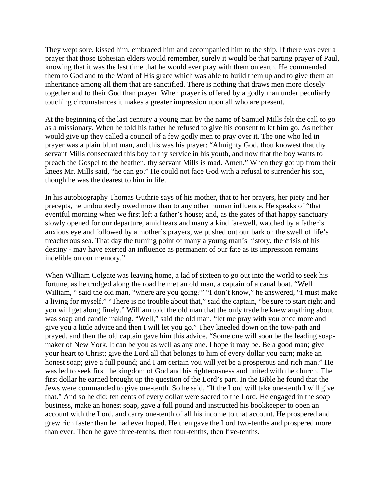They wept sore, kissed him, embraced him and accompanied him to the ship. If there was ever a prayer that those Ephesian elders would remember, surely it would be that parting prayer of Paul, knowing that it was the last time that he would ever pray with them on earth. He commended them to God and to the Word of His grace which was able to build them up and to give them an inheritance among all them that are sanctified. There is nothing that draws men more closely together and to their God than prayer. When prayer is offered by a godly man under peculiarly touching circumstances it makes a greater impression upon all who are present.

At the beginning of the last century a young man by the name of Samuel Mills felt the call to go as a missionary. When he told his father he refused to give his consent to let him go. As neither would give up they called a council of a few godly men to pray over it. The one who led in prayer was a plain blunt man, and this was his prayer: "Almighty God, thou knowest that thy servant Mills consecrated this boy to thy service in his youth, and now that the boy wants to preach the Gospel to the heathen, thy servant Mills is mad. Amen." When they got up from their knees Mr. Mills said, "he can go." He could not face God with a refusal to surrender his son, though he was the dearest to him in life.

In his autobiography Thomas Guthrie says of his mother, that to her prayers, her piety and her precepts, he undoubtedly owed more than to any other human influence. He speaks of "that eventful morning when we first left a father's house; and, as the gates of that happy sanctuary slowly opened for our departure, amid tears and many a kind farewell, watched by a father's anxious eye and followed by a mother's prayers, we pushed out our bark on the swell of life's treacherous sea. That day the turning point of many a young man's history, the crisis of his destiny - may have exerted an influence as permanent of our fate as its impression remains indelible on our memory."

When William Colgate was leaving home, a lad of sixteen to go out into the world to seek his fortune, as he trudged along the road he met an old man, a captain of a canal boat. "Well William, " said the old man, "where are you going?" "I don't know," he answered, "I must make a living for myself." "There is no trouble about that," said the captain, "be sure to start right and you will get along finely." William told the old man that the only trade he knew anything about was soap and candle making. "Well," said the old man, "let me pray with you once more and give you a little advice and then I will let you go." They kneeled down on the tow-path and prayed, and then the old captain gave him this advice. "Some one will soon be the leading soapmaker of New York. It can be you as well as any one. I hope it may be. Be a good man; give your heart to Christ; give the Lord all that belongs to him of every dollar you earn; make an honest soap; give a full pound; and I am certain you will yet be a prosperous and rich man." He was led to seek first the kingdom of God and his righteousness and united with the church. The first dollar he earned brought up the question of the Lord's part. In the Bible he found that the Jews were commanded to give one-tenth. So he said, "If the Lord will take one-tenth I will give that." And so he did; ten cents of every dollar were sacred to the Lord. He engaged in the soap business, make an honest soap, gave a full pound and instructed his bookkeeper to open an account with the Lord, and carry one-tenth of all his income to that account. He prospered and grew rich faster than he had ever hoped. He then gave the Lord two-tenths and prospered more than ever. Then he gave three-tenths, then four-tenths, then five-tenths.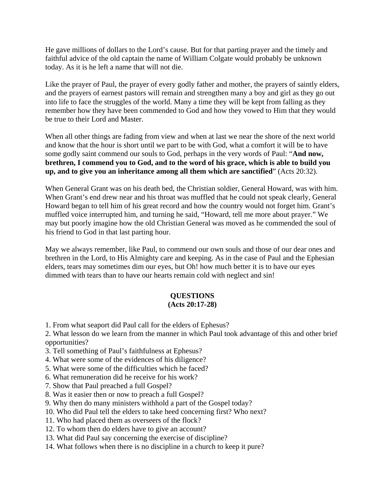He gave millions of dollars to the Lord's cause. But for that parting prayer and the timely and faithful advice of the old captain the name of William Colgate would probably be unknown today. As it is he left a name that will not die.

Like the prayer of Paul, the prayer of every godly father and mother, the prayers of saintly elders, and the prayers of earnest pastors will remain and strengthen many a boy and girl as they go out into life to face the struggles of the world. Many a time they will be kept from falling as they remember how they have been commended to God and how they vowed to Him that they would be true to their Lord and Master.

When all other things are fading from view and when at last we near the shore of the next world and know that the hour is short until we part to be with God, what a comfort it will be to have some godly saint commend our souls to God, perhaps in the very words of Paul: "**And now, brethren, I commend you to God, and to the word of his grace, which is able to build you up, and to give you an inheritance among all them which are sanctified**" (Acts 20:32).

When General Grant was on his death bed, the Christian soldier, General Howard, was with him. When Grant's end drew near and his throat was muffled that he could not speak clearly, General Howard began to tell him of his great record and how the country would not forget him. Grant's muffled voice interrupted him, and turning he said, "Howard, tell me more about prayer." We may but poorly imagine how the old Christian General was moved as he commended the soul of his friend to God in that last parting hour.

May we always remember, like Paul, to commend our own souls and those of our dear ones and brethren in the Lord, to His Almighty care and keeping. As in the case of Paul and the Ephesian elders, tears may sometimes dim our eyes, but Oh! how much better it is to have our eyes dimmed with tears than to have our hearts remain cold with neglect and sin!

#### **QUESTIONS (Acts 20:17-28)**

1. From what seaport did Paul call for the elders of Ephesus?

2. What lesson do we learn from the manner in which Paul took advantage of this and other brief opportunities?

- 3. Tell something of Paul's faithfulness at Ephesus?
- 4. What were some of the evidences of his diligence?
- 5. What were some of the difficulties which he faced?
- 6. What remuneration did he receive for his work?
- 7. Show that Paul preached a full Gospel?
- 8. Was it easier then or now to preach a full Gospel?
- 9. Why then do many ministers withhold a part of the Gospel today?
- 10. Who did Paul tell the elders to take heed concerning first? Who next?
- 11. Who had placed them as overseers of the flock?
- 12. To whom then do elders have to give an account?
- 13. What did Paul say concerning the exercise of discipline?
- 14. What follows when there is no discipline in a church to keep it pure?